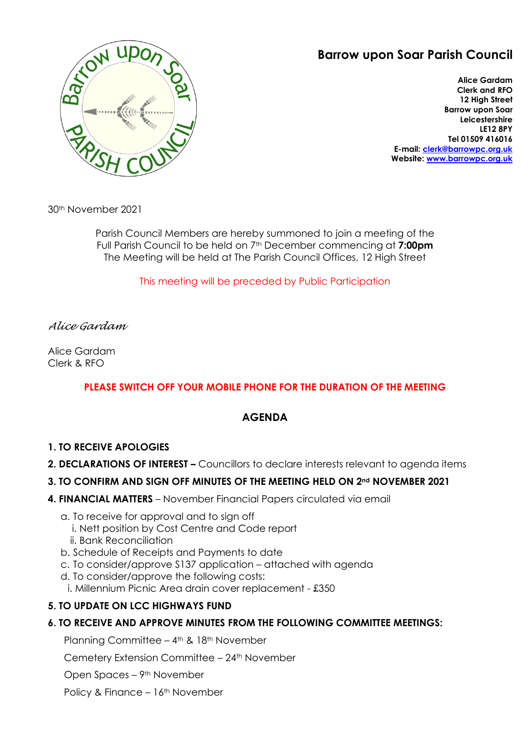# **Barrow upon Soar Parish Council**



**Alice Gardam Clerk and RFO 12 High Street Barrow upon Soar Leicestershire LE12 8PY Tel 01509 416016 E-mail: [clerk@barrowpc.org.uk](mailto:clerk@barrowpc.org.uk) Website: [www.barrowpc.org.uk](http://www.barrowpc.org.uk/)**

30th November 2021

Parish Council Members are hereby summoned to join a meeting of the Full Parish Council to be held on 7th December commencing at **7:00pm** The Meeting will be held at The Parish Council Offices, 12 High Street

This meeting will be preceded by Public Participation

## *Alice Gardam*

Alice Gardam Clerk & RFO

# **PLEASE SWITCH OFF YOUR MOBILE PHONE FOR THE DURATION OF THE MEETING**

# **AGENDA**

## **1. TO RECEIVE APOLOGIES**

**2. DECLARATIONS OF INTEREST –** Councillors to declare interests relevant to agenda items

## **3. TO CONFIRM AND SIGN OFF MINUTES OF THE MEETING HELD ON 2nd NOVEMBER 2021**

- **4. FINANCIAL MATTERS** November Financial Papers circulated via email
	- a. To receive for approval and to sign off
		- i. Nett position by Cost Centre and Code report
		- ii. Bank Reconciliation
	- b. Schedule of Receipts and Payments to date
	- c. To consider/approve S137 application attached with agenda
	- d. To consider/approve the following costs:
	- i. Millennium Picnic Area drain cover replacement £350

## **5. TO UPDATE ON LCC HIGHWAYS FUND**

## **6. TO RECEIVE AND APPROVE MINUTES FROM THE FOLLOWING COMMITTEE MEETINGS:**

Planning Committee – 4<sup>th</sup> & 18<sup>th</sup> November

Cemetery Extension Committee – 24th November

Open Spaces – 9th November

Policy & Finance – 16<sup>th</sup> November